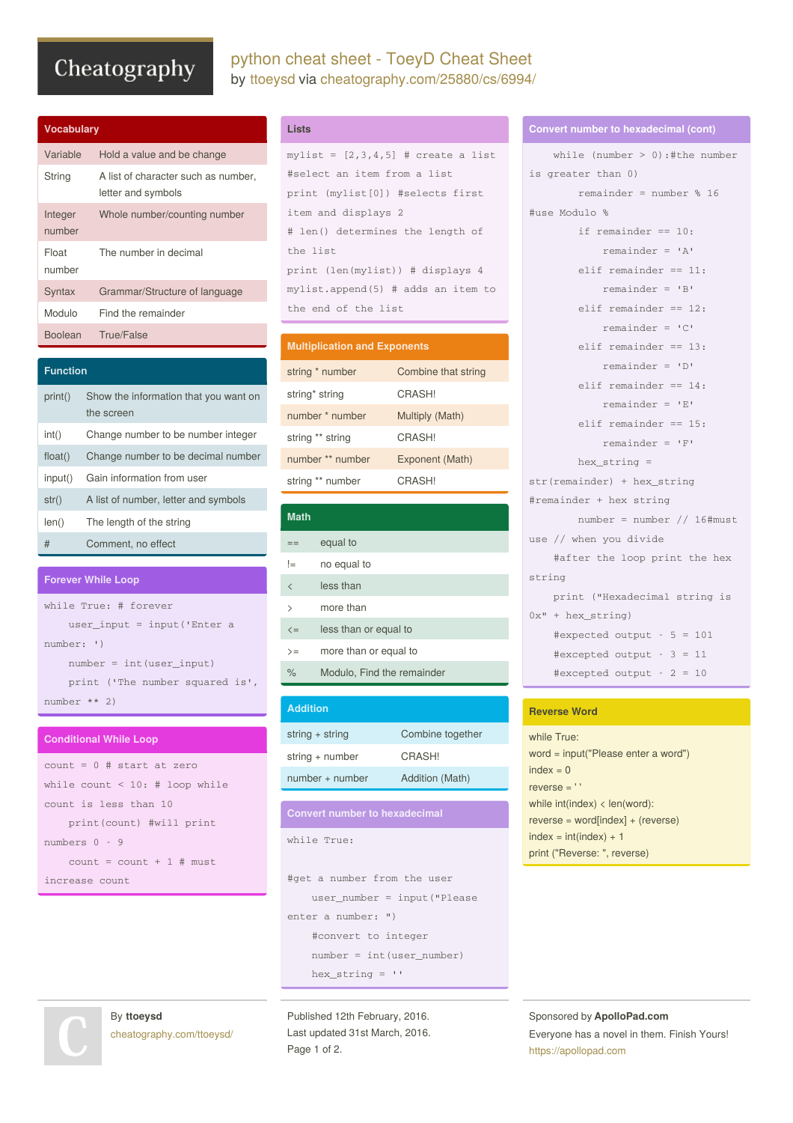# Cheatography

|  | python cheat sheet - ToeyD Cheat Sheet         |  |  |  |
|--|------------------------------------------------|--|--|--|
|  | by ttoeysd via cheatography.com/25880/cs/6994/ |  |  |  |

| <b>Vocabulary</b> |                                                           |  |  |  |
|-------------------|-----------------------------------------------------------|--|--|--|
| Variable          | Hold a value and be change                                |  |  |  |
| String            | A list of character such as number,<br>letter and symbols |  |  |  |
| Integer<br>number | Whole number/counting number                              |  |  |  |
| Float<br>number   | The number in decimal                                     |  |  |  |
| Syntax            | Grammar/Structure of language                             |  |  |  |
| Modulo            | Find the remainder                                        |  |  |  |
| <b>Boolean</b>    | True/False                                                |  |  |  |

| <b>Function</b> |                                                     |  |  |  |
|-----------------|-----------------------------------------------------|--|--|--|
| print()         | Show the information that you want on<br>the screen |  |  |  |
| int()           | Change number to be number integer                  |  |  |  |
| float()         | Change number to be decimal number                  |  |  |  |
| input()         | Gain information from user                          |  |  |  |
| str()           | A list of number, letter and symbols                |  |  |  |
| len()           | The length of the string                            |  |  |  |
| #               | Comment, no effect                                  |  |  |  |

#### **Forever While Loop**

while True: # forever user\_input = input('Enter a number: ') number = int(user\_input) print ('The number squared is', number \*\* 2)

#### **Conditional While Loop**

```
count = 0 # start at zero
while count < 10: # loop while
count is less than 10
   print(count) #will print
numbers 0 - 9
   count = count + 1 # must
increase count
```

```
Lists
```

```
mylist = [2,3,4,5] # create a list
#select an item from a list
print (mylist[0]) #selects first
item and displays 2
# len() determines the length of
the list
print (len(mylist)) # displays 4
mylist.append(5) # adds an item to
the end of the list
```
# **Multiplication and Exponents**

| string * number  | Combine that string |
|------------------|---------------------|
| string* string   | CRASHI              |
| number * number  | Multiply (Math)     |
| string ** string | CRASHI              |
| number ** number | Exponent (Math)     |
| string ** number | CRASHI              |

| <b>Math</b>              |                            |
|--------------------------|----------------------------|
|                          | equal to                   |
| !=                       | no equal to                |
| $\overline{\phantom{0}}$ | less than                  |
| $\mathcal{P}$            | more than                  |
| $\leq$                   | less than or equal to      |
| $>=$                     | more than or equal to      |
| $\frac{1}{\alpha}$       | Modulo, Find the remainder |

# **Addition** string + string Combine together string + number CRASH! number + number Addition (Math)

### **Convert number to hexadecimal**

```
while True:
```

```
#get a number from the user
   user_number = input("Please
enter a number: ")
   #convert to integer
   number = int(user_number)
   hex_string = ''
```
Published 12th February, 2016. Last updated 31st March, 2016. Page 1 of 2.

#### **Convert number to hexadecimal (cont)**

```
while (number > 0):#the number
is greater than 0)
       remainder = number % 16
#use Modulo %
       if remainder == 10:
           remainder = 'A'
       elif remainder == 11:
            remainder = 'B'
       elif remainder == 12:
           remainder = 'C'
       elif remainder == 13:
            remainder = 'D'
       elif remainder == 14:
            remainder = 'E'
       elif remainder == 15:
            remainder = 'F'
       hex_string =
str(remainder) + hex_string
#remainder + hex string
       number = number // 16#must
use // when you divide
   #after the loop print the hex
string
   print ("Hexadecimal string is
0x" + hex_string)
   #expected output - 5 = 101
   #excepted output - 3 = 11
    #excepted output - 2 = 10
```
#### **Reverse Word**

while True: word = input("Please enter a word")  $index = 0$ reverse = ' ' while int(index) < len(word): reverse = word[index] + (reverse)  $index = int(index) + 1$ print ("Reverse: ", reverse)

Sponsored by **ApolloPad.com** Everyone has a novel in them. Finish Yours! <https://apollopad.com>

```
By ttoeysd
cheatography.com/ttoeysd/
```